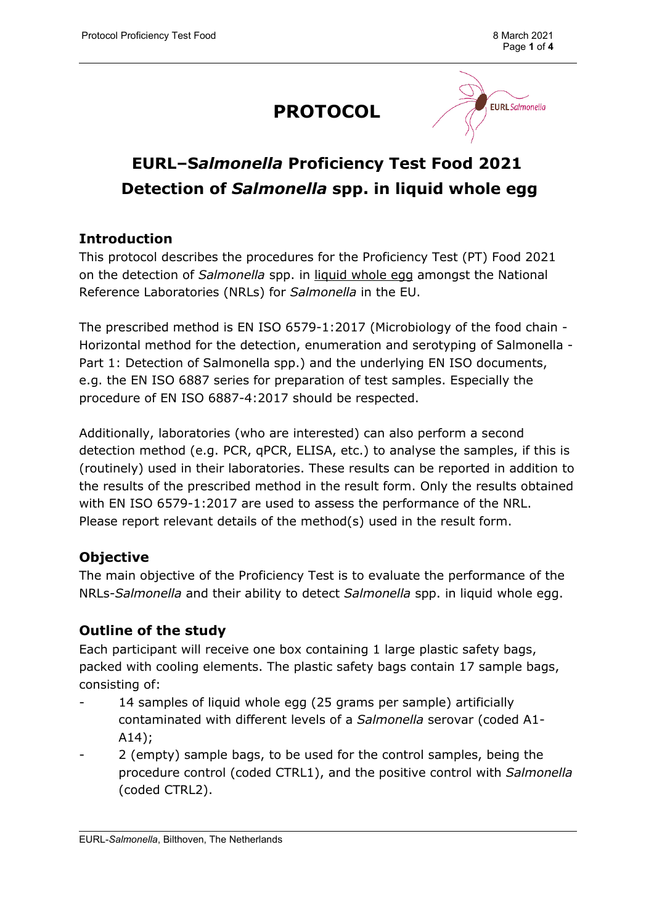## **PROTOCOL**



### **EURL–S***almonella* **Proficiency Test Food 2021 Detection of** *Salmonella* **spp. in liquid whole egg**

#### **Introduction**

This protocol describes the procedures for the Proficiency Test (PT) Food 2021 on the detection of *Salmonella* spp. in liquid whole egg amongst the National Reference Laboratories (NRLs) for *Salmonella* in the EU.

The prescribed method is EN ISO 6579-1:2017 (Microbiology of the food chain - Horizontal method for the detection, enumeration and serotyping of Salmonella - Part 1: Detection of Salmonella spp.) and the underlying EN ISO documents, e.g. the EN ISO 6887 series for preparation of test samples. Especially the procedure of EN ISO 6887-4:2017 should be respected.

Additionally, laboratories (who are interested) can also perform a second detection method (e.g. PCR, qPCR, ELISA, etc.) to analyse the samples, if this is (routinely) used in their laboratories. These results can be reported in addition to the results of the prescribed method in the result form. Only the results obtained with EN ISO 6579-1:2017 are used to assess the performance of the NRL. Please report relevant details of the method(s) used in the result form.

#### **Objective**

The main objective of the Proficiency Test is to evaluate the performance of the NRLs-*Salmonella* and their ability to detect *Salmonella* spp. in liquid whole egg.

#### **Outline of the study**

Each participant will receive one box containing 1 large plastic safety bags, packed with cooling elements. The plastic safety bags contain 17 sample bags, consisting of:

- 14 samples of liquid whole egg (25 grams per sample) artificially contaminated with different levels of a *Salmonella* serovar (coded A1- A14);
- 2 (empty) sample bags, to be used for the control samples, being the procedure control (coded CTRL1), and the positive control with *Salmonella* (coded CTRL2).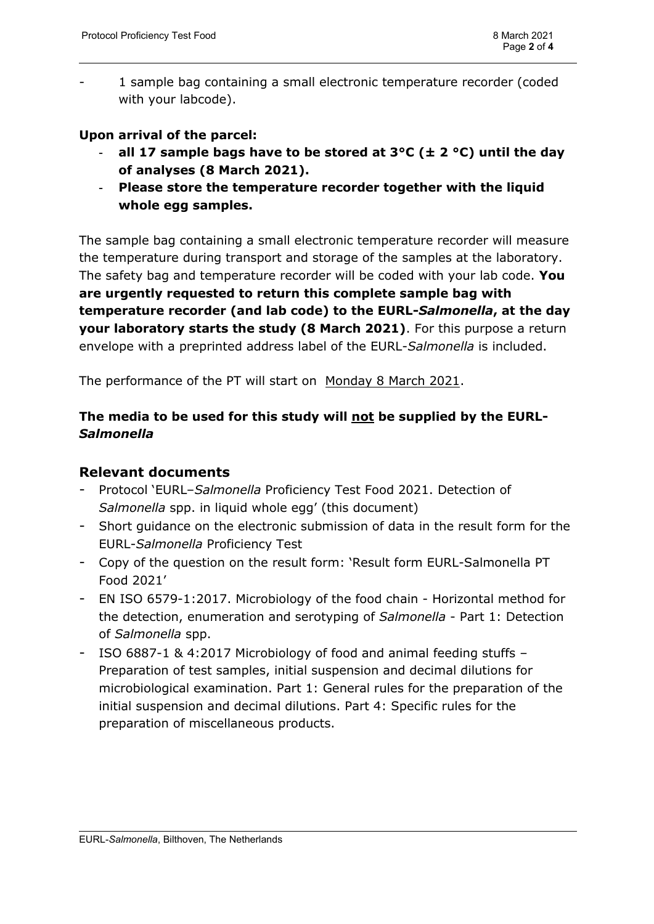1 sample bag containing a small electronic temperature recorder (coded with your labcode).

#### **Upon arrival of the parcel:**

- **all 17 sample bags have to be stored at 3°C (± 2 °C) until the day of analyses (8 March 2021).**
- **Please store the temperature recorder together with the liquid whole egg samples.**

The sample bag containing a small electronic temperature recorder will measure the temperature during transport and storage of the samples at the laboratory. The safety bag and temperature recorder will be coded with your lab code. **You are urgently requested to return this complete sample bag with temperature recorder (and lab code) to the EURL-***Salmonella***, at the day your laboratory starts the study (8 March 2021)**. For this purpose a return envelope with a preprinted address label of the EURL-*Salmonella* is included.

The performance of the PT will start on Monday 8 March 2021.

#### **The media to be used for this study will not be supplied by the EURL-***Salmonella*

#### **Relevant documents**

- Protocol 'EURL–*Salmonella* Proficiency Test Food 2021. Detection of *Salmonella* spp. in liquid whole egg' (this document)
- Short guidance on the electronic submission of data in the result form for the EURL-*Salmonella* Proficiency Test
- Copy of the question on the result form: 'Result form EURL-Salmonella PT Food 2021'
- EN ISO 6579-1:2017. Microbiology of the food chain Horizontal method for the detection, enumeration and serotyping of *Salmonella* - Part 1: Detection of *Salmonella* spp.
- ISO 6887-1 & 4:2017 Microbiology of food and animal feeding stuffs Preparation of test samples, initial suspension and decimal dilutions for microbiological examination. Part 1: General rules for the preparation of the initial suspension and decimal dilutions. Part 4: Specific rules for the preparation of miscellaneous products.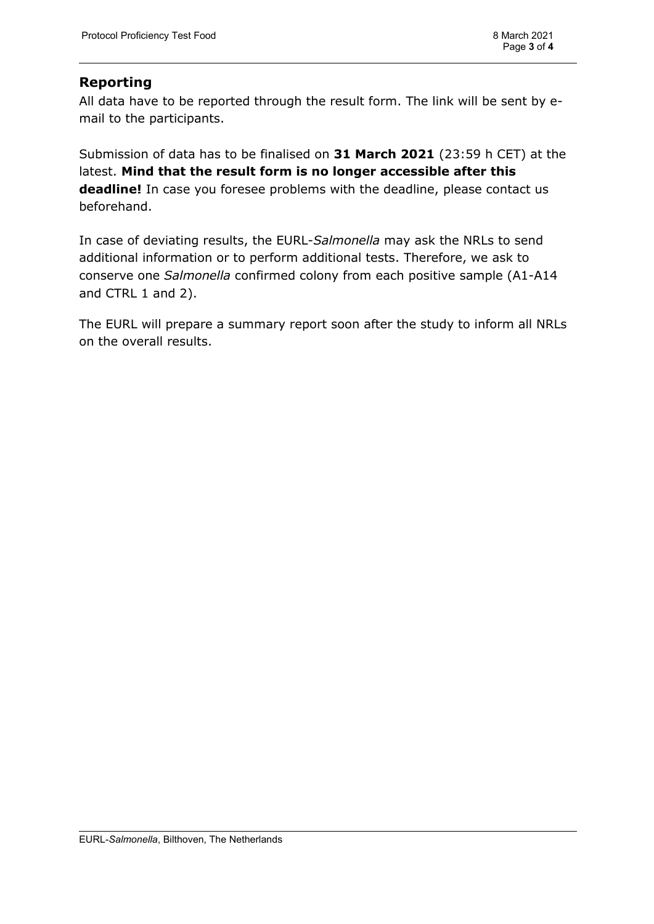#### **Reporting**

All data have to be reported through the result form. The link will be sent by email to the participants.

Submission of data has to be finalised on **31 March 2021** (23:59 h CET) at the latest. **Mind that the result form is no longer accessible after this deadline!** In case you foresee problems with the deadline, please contact us beforehand.

In case of deviating results, the EURL-*Salmonella* may ask the NRLs to send additional information or to perform additional tests. Therefore, we ask to conserve one *Salmonella* confirmed colony from each positive sample (A1-A14 and CTRL 1 and 2).

The EURL will prepare a summary report soon after the study to inform all NRLs on the overall results.